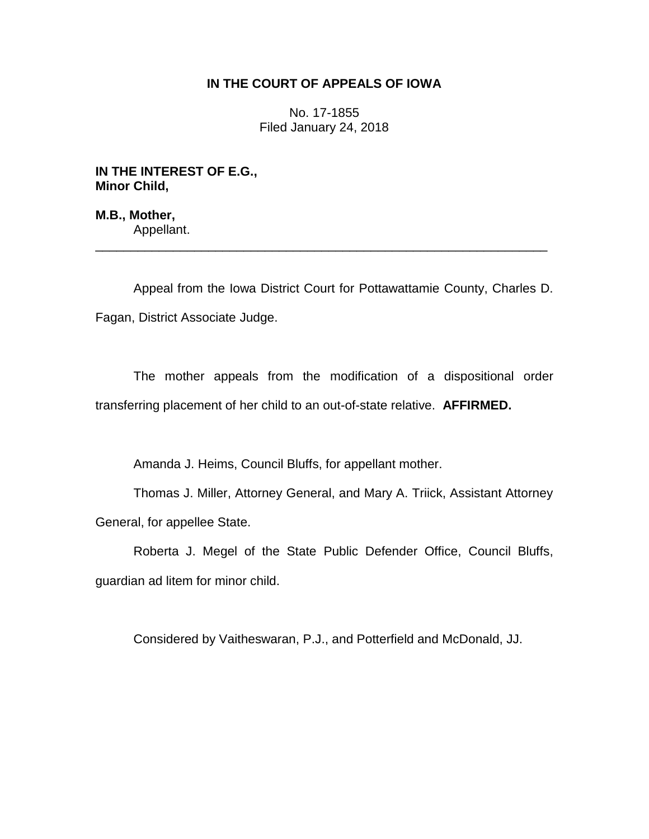# **IN THE COURT OF APPEALS OF IOWA**

No. 17-1855 Filed January 24, 2018

**IN THE INTEREST OF E.G., Minor Child,**

**M.B., Mother,** Appellant.

Appeal from the Iowa District Court for Pottawattamie County, Charles D. Fagan, District Associate Judge.

\_\_\_\_\_\_\_\_\_\_\_\_\_\_\_\_\_\_\_\_\_\_\_\_\_\_\_\_\_\_\_\_\_\_\_\_\_\_\_\_\_\_\_\_\_\_\_\_\_\_\_\_\_\_\_\_\_\_\_\_\_\_\_\_

The mother appeals from the modification of a dispositional order transferring placement of her child to an out-of-state relative. **AFFIRMED.**

Amanda J. Heims, Council Bluffs, for appellant mother.

Thomas J. Miller, Attorney General, and Mary A. Triick, Assistant Attorney General, for appellee State.

Roberta J. Megel of the State Public Defender Office, Council Bluffs, guardian ad litem for minor child.

Considered by Vaitheswaran, P.J., and Potterfield and McDonald, JJ.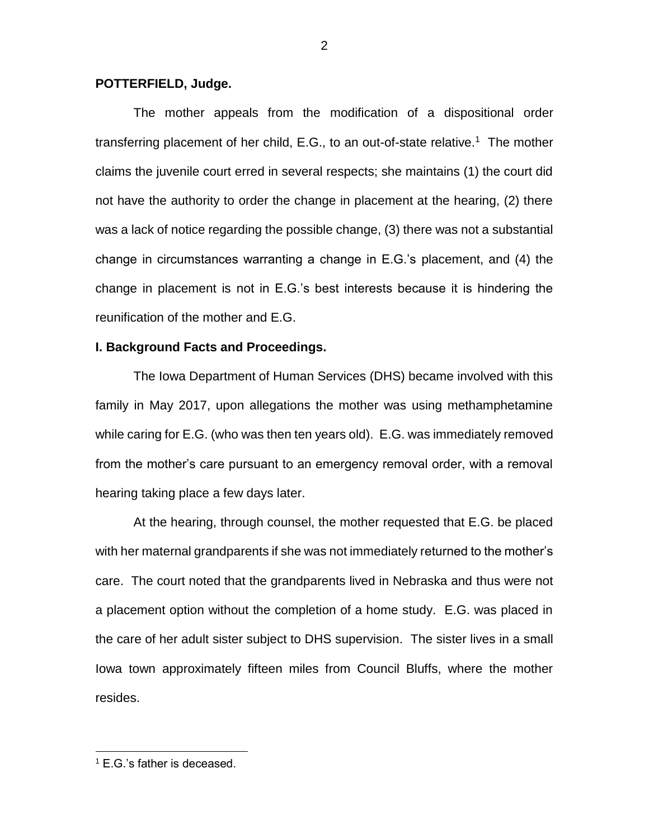#### **POTTERFIELD, Judge.**

The mother appeals from the modification of a dispositional order transferring placement of her child, E.G., to an out-of-state relative.<sup>1</sup> The mother claims the juvenile court erred in several respects; she maintains (1) the court did not have the authority to order the change in placement at the hearing, (2) there was a lack of notice regarding the possible change, (3) there was not a substantial change in circumstances warranting a change in E.G.'s placement, and (4) the change in placement is not in E.G.'s best interests because it is hindering the reunification of the mother and E.G.

### **I. Background Facts and Proceedings.**

The Iowa Department of Human Services (DHS) became involved with this family in May 2017, upon allegations the mother was using methamphetamine while caring for E.G. (who was then ten years old). E.G. was immediately removed from the mother's care pursuant to an emergency removal order, with a removal hearing taking place a few days later.

At the hearing, through counsel, the mother requested that E.G. be placed with her maternal grandparents if she was not immediately returned to the mother's care. The court noted that the grandparents lived in Nebraska and thus were not a placement option without the completion of a home study. E.G. was placed in the care of her adult sister subject to DHS supervision. The sister lives in a small Iowa town approximately fifteen miles from Council Bluffs, where the mother resides.

<sup>1</sup> E.G.'s father is deceased.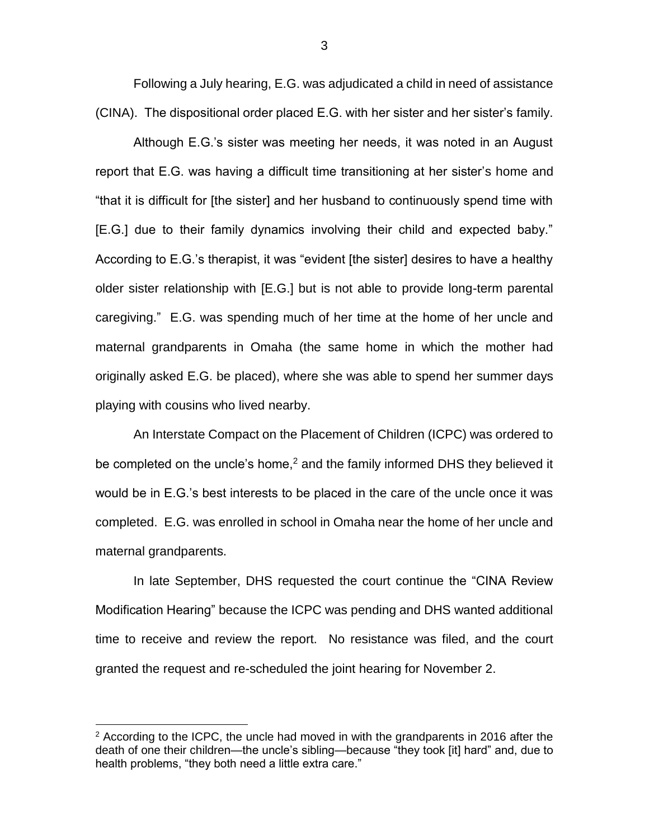Following a July hearing, E.G. was adjudicated a child in need of assistance (CINA). The dispositional order placed E.G. with her sister and her sister's family.

Although E.G.'s sister was meeting her needs, it was noted in an August report that E.G. was having a difficult time transitioning at her sister's home and "that it is difficult for [the sister] and her husband to continuously spend time with [E.G.] due to their family dynamics involving their child and expected baby." According to E.G.'s therapist, it was "evident [the sister] desires to have a healthy older sister relationship with [E.G.] but is not able to provide long-term parental caregiving." E.G. was spending much of her time at the home of her uncle and maternal grandparents in Omaha (the same home in which the mother had originally asked E.G. be placed), where she was able to spend her summer days playing with cousins who lived nearby.

An Interstate Compact on the Placement of Children (ICPC) was ordered to be completed on the uncle's home,<sup>2</sup> and the family informed DHS they believed it would be in E.G.'s best interests to be placed in the care of the uncle once it was completed. E.G. was enrolled in school in Omaha near the home of her uncle and maternal grandparents.

In late September, DHS requested the court continue the "CINA Review Modification Hearing" because the ICPC was pending and DHS wanted additional time to receive and review the report. No resistance was filed, and the court granted the request and re-scheduled the joint hearing for November 2.

 $2$  According to the ICPC, the uncle had moved in with the grandparents in 2016 after the death of one their children—the uncle's sibling—because "they took [it] hard" and, due to health problems, "they both need a little extra care."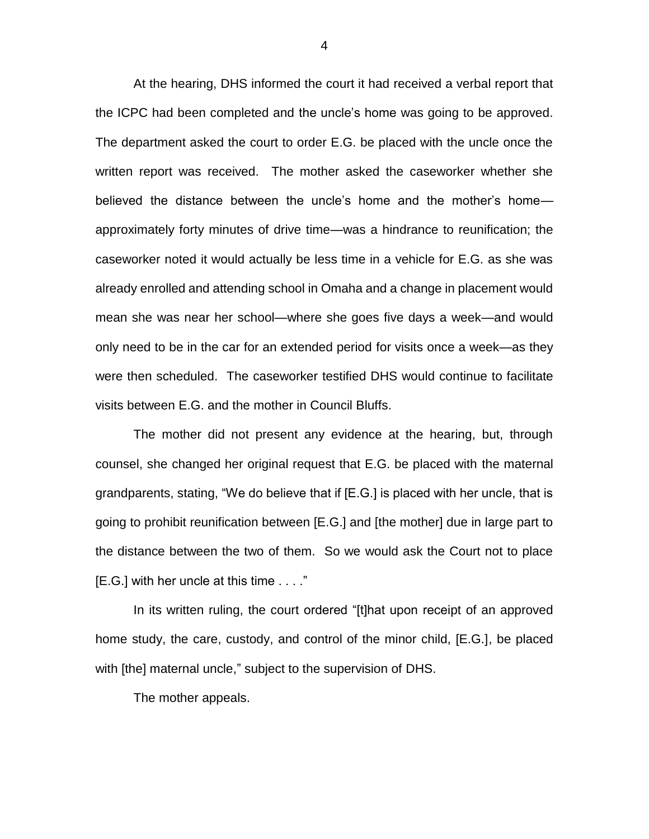At the hearing, DHS informed the court it had received a verbal report that the ICPC had been completed and the uncle's home was going to be approved. The department asked the court to order E.G. be placed with the uncle once the written report was received. The mother asked the caseworker whether she believed the distance between the uncle's home and the mother's home approximately forty minutes of drive time—was a hindrance to reunification; the caseworker noted it would actually be less time in a vehicle for E.G. as she was already enrolled and attending school in Omaha and a change in placement would mean she was near her school—where she goes five days a week—and would only need to be in the car for an extended period for visits once a week—as they were then scheduled. The caseworker testified DHS would continue to facilitate visits between E.G. and the mother in Council Bluffs.

The mother did not present any evidence at the hearing, but, through counsel, she changed her original request that E.G. be placed with the maternal grandparents, stating, "We do believe that if [E.G.] is placed with her uncle, that is going to prohibit reunification between [E.G.] and [the mother] due in large part to the distance between the two of them. So we would ask the Court not to place [E.G.] with her uncle at this time . . . ."

In its written ruling, the court ordered "[t]hat upon receipt of an approved home study, the care, custody, and control of the minor child, [E.G.], be placed with [the] maternal uncle," subject to the supervision of DHS.

The mother appeals.

4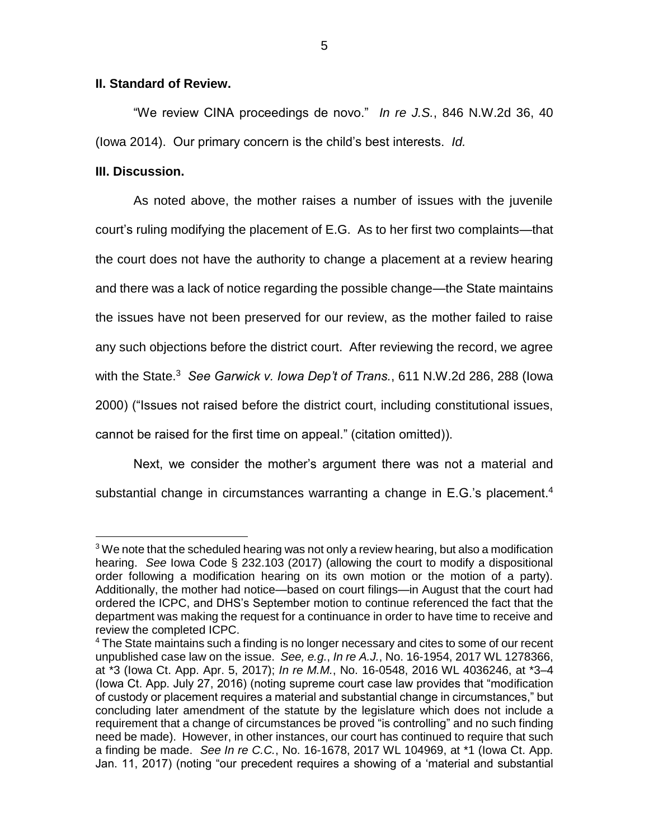## **II. Standard of Review.**

"We review CINA proceedings de novo." *In re J.S.*, 846 N.W.2d 36, 40 (Iowa 2014). Our primary concern is the child's best interests. *Id.* 

## **III. Discussion.**

 $\overline{a}$ 

As noted above, the mother raises a number of issues with the juvenile court's ruling modifying the placement of E.G. As to her first two complaints—that the court does not have the authority to change a placement at a review hearing and there was a lack of notice regarding the possible change—the State maintains the issues have not been preserved for our review, as the mother failed to raise any such objections before the district court. After reviewing the record, we agree with the State.<sup>3</sup> *See Garwick v. Iowa Dep't of Trans.*, 611 N.W.2d 286, 288 (Iowa 2000) ("Issues not raised before the district court, including constitutional issues, cannot be raised for the first time on appeal." (citation omitted)).

Next, we consider the mother's argument there was not a material and substantial change in circumstances warranting a change in E.G.'s placement.<sup>4</sup>

<sup>&</sup>lt;sup>3</sup> We note that the scheduled hearing was not only a review hearing, but also a modification hearing. *See* Iowa Code § 232.103 (2017) (allowing the court to modify a dispositional order following a modification hearing on its own motion or the motion of a party). Additionally, the mother had notice—based on court filings—in August that the court had ordered the ICPC, and DHS's September motion to continue referenced the fact that the department was making the request for a continuance in order to have time to receive and review the completed ICPC.

<sup>4</sup> The State maintains such a finding is no longer necessary and cites to some of our recent unpublished case law on the issue. *See, e.g.*, *In re A.J.*, No. 16-1954, 2017 WL 1278366, at \*3 (Iowa Ct. App. Apr. 5, 2017); *In re M.M.*, No. 16-0548, 2016 WL 4036246, at \*3–4 (Iowa Ct. App. July 27, 2016) (noting supreme court case law provides that "modification of custody or placement requires a material and substantial change in circumstances," but concluding later amendment of the statute by the legislature which does not include a requirement that a change of circumstances be proved "is controlling" and no such finding need be made). However, in other instances, our court has continued to require that such a finding be made. *See In re C.C.*, No. 16-1678, 2017 WL 104969, at \*1 (Iowa Ct. App. Jan. 11, 2017) (noting "our precedent requires a showing of a 'material and substantial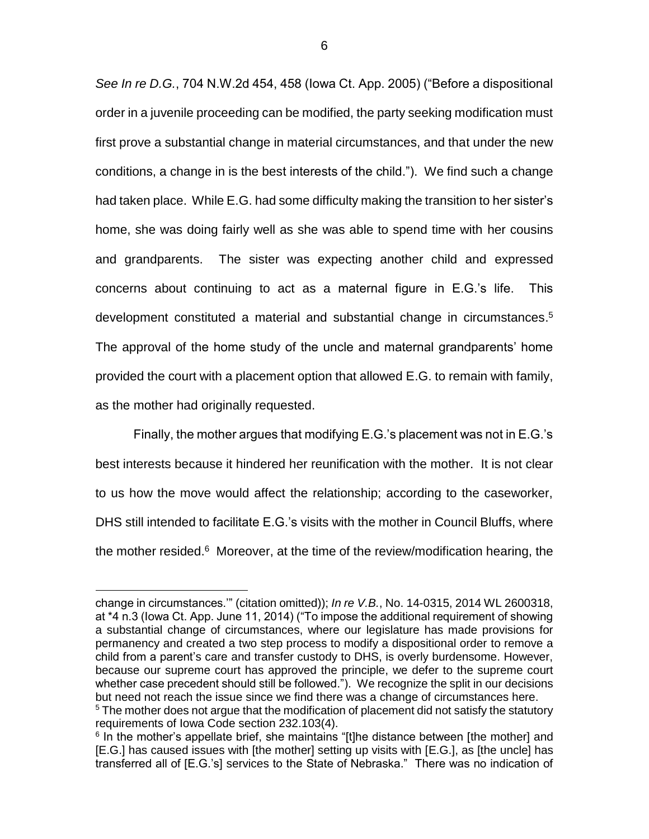*See In re D.G.*, 704 N.W.2d 454, 458 (Iowa Ct. App. 2005) ("Before a dispositional order in a juvenile proceeding can be modified, the party seeking modification must first prove a substantial change in material circumstances, and that under the new conditions, a change in is the best interests of the child."). We find such a change had taken place. While E.G. had some difficulty making the transition to her sister's home, she was doing fairly well as she was able to spend time with her cousins and grandparents. The sister was expecting another child and expressed concerns about continuing to act as a maternal figure in E.G.'s life. This development constituted a material and substantial change in circumstances. 5 The approval of the home study of the uncle and maternal grandparents' home provided the court with a placement option that allowed E.G. to remain with family, as the mother had originally requested.

Finally, the mother argues that modifying E.G.'s placement was not in E.G.'s best interests because it hindered her reunification with the mother. It is not clear to us how the move would affect the relationship; according to the caseworker, DHS still intended to facilitate E.G.'s visits with the mother in Council Bluffs, where the mother resided.<sup>6</sup> Moreover, at the time of the review/modification hearing, the

change in circumstances.'" (citation omitted)); *In re V.B.*, No. 14-0315, 2014 WL 2600318, at \*4 n.3 (Iowa Ct. App. June 11, 2014) ("To impose the additional requirement of showing a substantial change of circumstances, where our legislature has made provisions for permanency and created a two step process to modify a dispositional order to remove a child from a parent's care and transfer custody to DHS, is overly burdensome. However, because our supreme court has approved the principle, we defer to the supreme court whether case precedent should still be followed."). We recognize the split in our decisions but need not reach the issue since we find there was a change of circumstances here.  $5$  The mother does not argue that the modification of placement did not satisfy the statutory

requirements of Iowa Code section 232.103(4).

<sup>&</sup>lt;sup>6</sup> In the mother's appellate brief, she maintains "[t]he distance between [the mother] and [E.G.] has caused issues with [the mother] setting up visits with [E.G.], as [the uncle] has transferred all of [E.G.'s] services to the State of Nebraska." There was no indication of